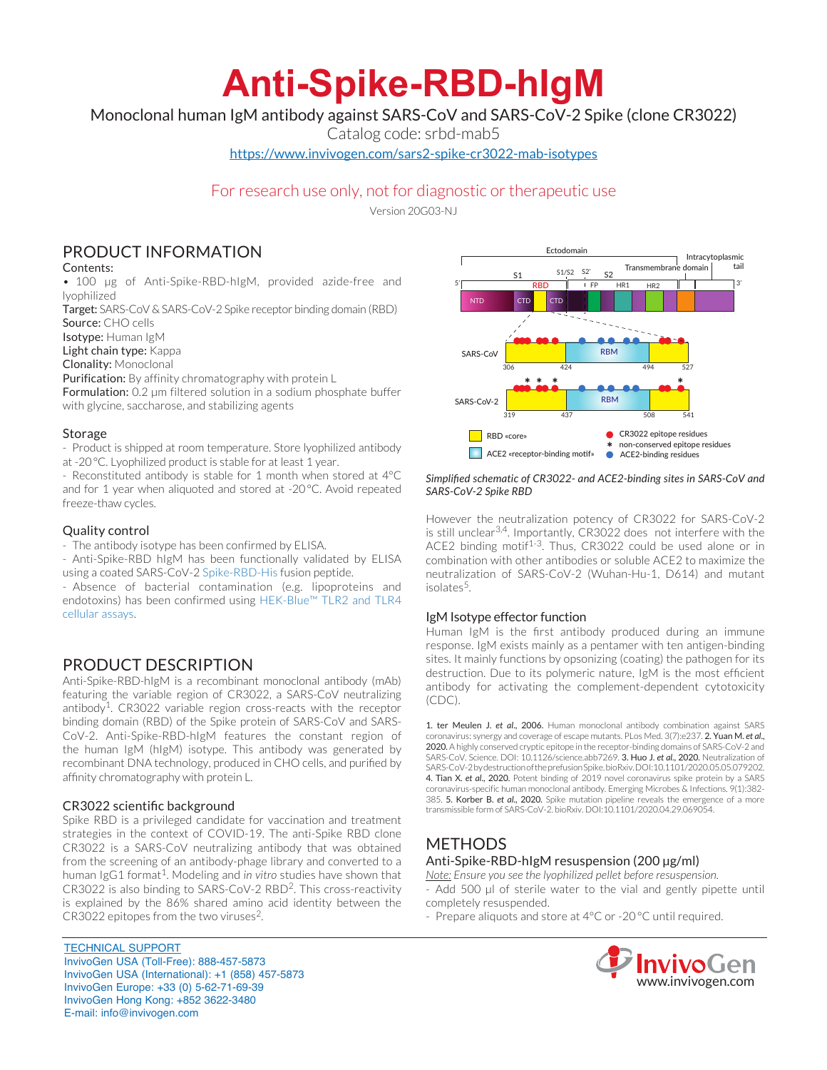# **Anti-Spike-RBD-hIgM**

Monoclonal human IgM antibody against SARS-CoV and SARS-CoV-2 Spike (clone CR3022)

Catalog code: srbd-mab5

https://www.invivogen.com/sars2-spike-cr3022-mab-isotypes

# For research use only, not for diagnostic or therapeutic use

Version 20G03-NJ

# PRODUCT INFORMATION

## Contents:

• 100 µg of Anti-Spike-RBD-hIgM, provided azide-free and lyophilized

Target: SARS-CoV & SARS-CoV-2 Spike receptor binding domain (RBD) Source: CHO cells

Isotype: Human IgM

Light chain type: Kappa

Clonality: Monoclonal

Purification: By affinity chromatography with protein L

Formulation: 0.2 µm filtered solution in a sodium phosphate buffer with glycine, saccharose, and stabilizing agents

# Storage

- Product is shipped at room temperature. Store lyophilized antibody at -20°C. Lyophilized product is stable for at least 1 year.

- Reconstituted antibody is stable for 1 month when stored at 4°C and for 1 year when aliquoted and stored at -20°C. Avoid repeated freeze-thaw cycles.

# Quality control

- The antibody isotype has been confirmed by ELISA.

- Anti-Spike-RBD hIgM has been functionally validated by ELISA using a coated SARS-CoV-2 Spike-RBD-His fusion peptide.

- Absence of bacterial contamination (e.g. lipoproteins and endotoxins) has been confirmed using HEK-Blue™ TLR2 and TLR4 cellular assays.

# PRODUCT DESCRIPTION

Anti-Spike-RBD-hIgM is a recombinant monoclonal antibody (mAb) featuring the variable region of CR3022, a SARS-CoV neutralizing antibody<sup>1</sup>. CR3022 variable region cross-reacts with the receptor binding domain (RBD) of the Spike protein of SARS-CoV and SARS-CoV-2. Anti-Spike-RBD-hIgM features the constant region of the human IgM (hIgM) isotype. This antibody was generated by recombinant DNA technology, produced in CHO cells, and purified by affinity chromatography with protein L.

# CR3022 scientific background

Spike RBD is a privileged candidate for vaccination and treatment strategies in the context of COVID-19. The anti-Spike RBD clone CR3022 is a SARS-CoV neutralizing antibody that was obtained from the screening of an antibody-phage library and converted to a human IgG1 format<sup>1</sup>. Modeling and *in vitro* studies have shown that CR3022 is also binding to SARS-CoV-2 RBD2. This cross-reactivity is explained by the 86% shared amino acid identity between the CR3022 epitopes from the two viruses<sup>2</sup>.

TECHNICAL SUPPORT InvivoGen USA (Toll‑Free): 888-457-5873 InvivoGen USA (International): +1 (858) 457-5873 InvivoGen Europe: +33 (0) 5-62-71-69-39 InvivoGen Hong Kong: +852 3622-3480 E-mail: info@invivogen.com



#### *Simplified schematic of CR3022- and ACE2-binding sites in SARS-CoV and SARS-CoV-2 Spike RBD*

However the neutralization potency of CR3022 for SARS-CoV-2 is still unclear<sup>3,4</sup>. Importantly, CR3022 does not interfere with the ACE2 binding motif<sup>1-3</sup>. Thus, CR3022 could be used alone or in combination with other antibodies or soluble ACE2 to maximize the neutralization of SARS-CoV-2 (Wuhan-Hu-1, D614) and mutant isolates<sup>5</sup>.

### IgM Isotype effector function

Human IgM is the first antibody produced during an immune response. IgM exists mainly as a pentamer with ten antigen-binding sites. It mainly functions by opsonizing (coating) the pathogen for its destruction. Due to its polymeric nature, IgM is the most efficient antibody for activating the complement-dependent cytotoxicity  $(CDC)$ 

1. ter Meulen J. *et al*., 2006. Human monoclonal antibody combination against SARS coronavirus: synergy and coverage of escape mutants. PLos Med. 3(7):e237. 2. Yuan M. *et al*., 2020. A highly conserved cryptic epitope in the receptor-binding domains of SARS-CoV-2 and SARS-CoV. Science. DOI: 10.1126/science.abb7269. 3. Huo J. *et al*., 2020. Neutralization of SARS-CoV-2 by destruction of the prefusion Spike. bioRxiv. DOI:10.1101/2020.05.05.079202. 4. Tian X. *et al*., 2020. Potent binding of 2019 novel coronavirus spike protein by a SARS coronavirus-specific human monoclonal antibody. Emerging Microbes & Infections. 9(1):382- 385. 5. Korber B. *et al*., 2020. Spike mutation pipeline reveals the emergence of a more transmissible form of SARS-CoV-2. bioRxiv. DOI:10.1101/2020.04.29.069054.

# METHODS Anti-Spike-RBD-hIgM resuspension (200 µg/ml)

*Note: Ensure you see the lyophilized pellet before resuspension.* - Add 500 µl of sterile water to the vial and gently pipette until completely resuspended.

- Prepare aliquots and store at 4°C or -20 °C until required.